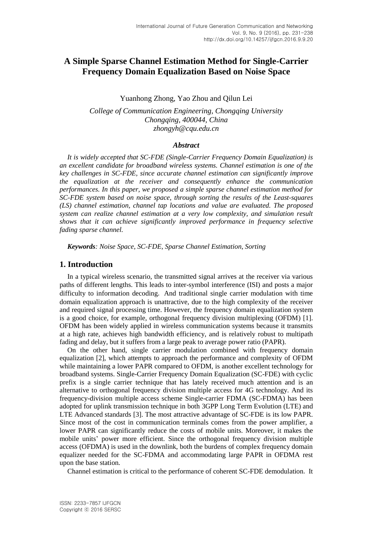# **A Simple Sparse Channel Estimation Method for Single-Carrier Frequency Domain Equalization Based on Noise Space**

Yuanhong Zhong, Yao Zhou and Qilun Lei

*College of Communication Engineering, Chongqing University Chongqing, 400044, China zhongyh@cqu.edu.cn*

### *Abstract*

*It is widely accepted that SC-FDE (Single-Carrier Frequency Domain Equalization) is an excellent candidate for broadband wireless systems. Channel estimation is one of the key challenges in SC-FDE, since accurate channel estimation can significantly improve the equalization at the receiver and consequently enhance the communication performances. In this paper, we proposed a simple sparse channel estimation method for SC-FDE system based on noise space, through sorting the results of the Least-squares (LS) channel estimation, channel tap locations and value are evaluated. The proposed system can realize channel estimation at a very low complexity, and simulation result shows that it can achieve significantly improved performance in frequency selective fading sparse channel.*

*Keywords: Noise Space, SC-FDE, Sparse Channel Estimation, Sorting*

### **1. Introduction**

In a typical wireless scenario, the transmitted signal arrives at the receiver via various paths of different lengths. This leads to inter-symbol interference (ISI) and posts a major difficulty to information decoding. And traditional single carrier modulation with time domain equalization approach is unattractive, due to the high complexity of the receiver and required signal processing time. However, the frequency domain equalization system is a good choice, for example, orthogonal frequency division multiplexing (OFDM) [1]. OFDM has been widely applied in wireless communication systems because it transmits at a high rate, achieves high bandwidth efficiency, and is relatively robust to multipath fading and delay, but it suffers from a large peak to average power ratio (PAPR).

On the other hand, single carrier modulation combined with frequency domain equalization [2], which attempts to approach the performance and complexity of OFDM while maintaining a lower PAPR compared to OFDM, is another excellent technology for broadband systems. Single-Carrier Frequency Domain Equalization (SC-FDE) with cyclic prefix is a single carrier technique that has lately received much attention and is an alternative to orthogonal frequency division multiple access for 4G technology. And its frequency-division multiple access scheme Single-carrier FDMA (SC-FDMA) has been adopted for uplink transmission technique in both 3GPP Long Term Evolution (LTE) and LTE Advanced standards [3]. The most attractive advantage of SC-FDE is its low PAPR. Since most of the cost in communication terminals comes from the power amplifier, a lower PAPR can significantly reduce the costs of mobile units. Moreover, it makes the mobile units' power more efficient. Since the orthogonal frequency division multiple access (OFDMA) is used in the downlink, both the burdens of complex frequency domain equalizer needed for the SC-FDMA and accommodating large PAPR in OFDMA rest upon the base station.

Channel estimation is critical to the performance of coherent SC-FDE demodulation. It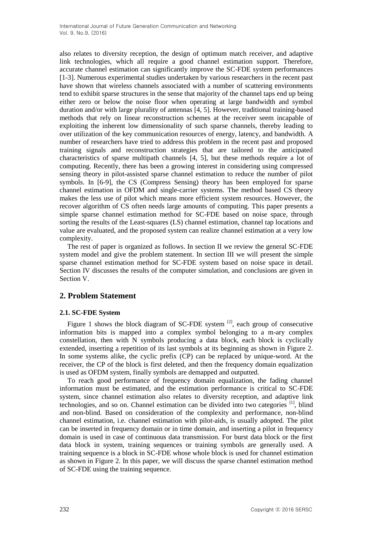also relates to diversity reception, the design of optimum match receiver, and adaptive link technologies, which all require a good channel estimation support. Therefore, accurate channel estimation can significantly improve the SC-FDE system performances [1-3]. Numerous experimental studies undertaken by various researchers in the recent past have shown that wireless channels associated with a number of scattering environments tend to exhibit sparse structures in the sense that majority of the channel taps end up being either zero or below the noise floor when operating at large bandwidth and symbol duration and/or with large plurality of antennas [4, 5]. However, traditional training-based methods that rely on linear reconstruction schemes at the receiver seem incapable of exploiting the inherent low dimensionality of such sparse channels, thereby leading to over utilization of the key communication resources of energy, latency, and bandwidth. A number of researchers have tried to address this problem in the recent past and proposed training signals and reconstruction strategies that are tailored to the anticipated characteristics of sparse multipath channels [4, 5], but these methods require a lot of computing. Recently, there has been a growing interest in considering using compressed sensing theory in pilot-assisted sparse channel estimation to reduce the number of pilot symbols. In [6-9], the CS (Compress Sensing) theory has been employed for sparse channel estimation in OFDM and single-carrier systems. The method based CS theory makes the less use of pilot which means more efficient system resources. However, the recover algorithm of CS often needs large amounts of computing. This paper presents a simple sparse channel estimation method for SC-FDE based on noise space, through sorting the results of the Least-squares (LS) channel estimation, channel tap locations and value are evaluated, and the proposed system can realize channel estimation at a very low complexity.

The rest of paper is organized as follows. In section II we review the general SC-FDE system model and give the problem statement. In section III we will present the simple sparse channel estimation method for SC-FDE system based on noise space in detail. Section IV discusses the results of the computer simulation, and conclusions are given in Section V.

# **2. Problem Statement**

# **2.1. SC-FDE System**

Figure 1 shows the block diagram of SC-FDE system  $^{[2]}$ , each group of consecutive information bits is mapped into a complex symbol belonging to a m-ary complex constellation, then with N symbols producing a data block, each block is cyclically extended, inserting a repetition of its last symbols at its beginning as shown in Figure 2. In some systems alike, the cyclic prefix (CP) can be replaced by unique-word. At the receiver, the CP of the block is first deleted, and then the frequency domain equalization is used as OFDM system, finally symbols are demapped and outputted.

To reach good performance of frequency domain equalization, the fading channel information must be estimated, and the estimation performance is critical to SC-FDE system, since channel estimation also relates to diversity reception, and adaptive link technologies, and so on. Channel estimation can be divided into two categories [1], blind and non-blind. Based on consideration of the complexity and performance, non-blind channel estimation, i.e. channel estimation with pilot-aids, is usually adopted. The pilot can be inserted in frequency domain or in time domain, and inserting a pilot in frequency domain is used in case of continuous data transmission. For burst data block or the first data block in system, training sequences or training symbols are generally used. A training sequence is a block in SC-FDE whose whole block is used for channel estimation as shown in Figure 2. In this paper, we will discuss the sparse channel estimation method of SC-FDE using the training sequence.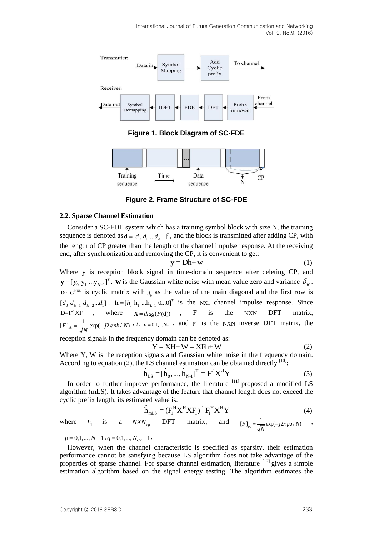

**Figure 1. Block Diagram of SC-FDE**



**Figure 2. Frame Structure of SC-FDE**

# **2.2. Sparse Channel Estimation**

Consider a SC-FDE system which has a training symbol block with size N, the training sequence is denoted as  $\mathbf{d} = [d_0 \, d_1 \, ... \, d_{N-1}]^T$ , and the block is transmitted after adding CP, with the length of CP greater than the length of the channel impulse response. At the receiving end, after synchronization and removing the CP, it is convenient to get:

$$
y = Dh + w \tag{1}
$$

Where y is reception block signal in time-domain sequence after deleting CP, and  $\mathbf{y} = [y_0 \, y_1 \, ... y_{N-1}]^T$ . W is the Gaussian white noise with mean value zero and variance  $\delta_w$ .  $\mathbf{D} \in C^{N X N}$  is cyclic matrix with  $d_0$  as the value of the main diagonal and the first row is  $[d_0 \, d_{N-1} \, d_{N-2}...d_1] \cdot \mathbf{h} = [h_0 \, h_1 \, ...h_{L-1} \, 0...0]^T$  is the NX1 channel impulse response. Since  $D = F^1 X F$ , where  $X = diag(F(d))$ , F is the NXN DFT matrix,  $[F]_{nk} = \frac{1}{\sqrt{N}} \exp(-j2\pi nk / N)$ ,  $k_n = 0, 1, \dots N-1$ , and  $F^T$  is the NXN inverse DFT matrix, the

reception signals in the frequency domain can be denoted as:<br> $Y = XH + W = XFh + W$ 

$$
Y = XH + W = XFh + W
$$
 (2)

Where Y, W is the reception signals and Gaussian white noise in the frequency domain. According to equation (2), the LS channel estimation can be obtained directly  $[10]$ :

$$
\hat{h}_{LS} = [\hat{h}_0, ..., \hat{h}_{N-1}]^T = F^{-1}X^{-1}Y
$$
\n(3)

In order to further improve performance, the literature  $\frac{1}{11}$  proposed a modified LS algorithm (mLS). It takes advantage of the feature that channel length does not exceed the cyclic prefix length, its estimated value is:

$$
\hat{\mathbf{h}}_{\text{mLS}} = (\mathbf{F}_1^{\text{H}} \mathbf{X}^{\text{H}} \mathbf{X} \mathbf{F}_1)^{-1} \mathbf{F}_1^{\text{H}} \mathbf{X}^{\text{H}} \mathbf{Y}
$$
(4)

where 
$$
F_1
$$
 is a  $NXN_{cp}$  DFT matrix, and  $[F_1]_{pq} = \frac{1}{\sqrt{N}} \exp(-j2\pi pq/N)$ 

 $p = 0, 1, \ldots, N-1, q = 0, 1, \ldots, N_{CP} - 1$ .

However, when the channel characteristic is specified as sparsity, their estimation performance cannot be satisfying because LS algorithm does not take advantage of the properties of sparse channel. For sparse channel estimation, literature <sup>[12]</sup> gives a simple estimation algorithm based on the signal energy testing. The algorithm estimates the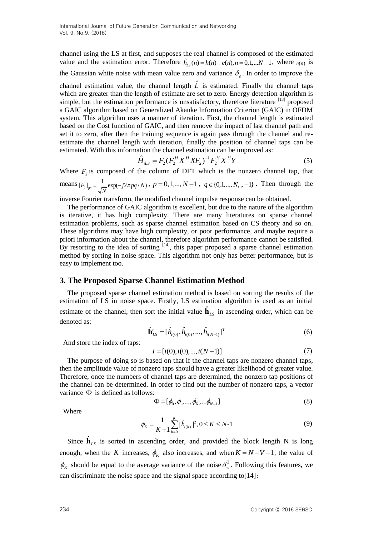channel using the LS at first, and supposes the real channel is composed of the estimated channel using the LS at first, and supposes the real channel is composed of the estimated value and the estimation error. Therefore  $\hat{h}_{LS}(n) = h(n) + e(n), n = 0, 1, ...N - 1$ , where  $e(n)$  is the Gaussian white noise with mean value zero and variance  $\delta_e$ . In order to improve the channel estimation value, the channel length  $\hat{L}$  is estimated. Finally the channel taps which are greater than the length of estimate are set to zero. Energy detection algorithm is simple, but the estimation performance is unsatisfactory, therefore literature <sup>[13]</sup> proposed a GAIC algorithm based on Generalized Akanke Information Criterion (GAIC) in OFDM system. This algorithm uses a manner of iteration. First, the channel length is estimated based on the Cost function of GAIC, and then remove the impact of last channel path and set it to zero, after then the training sequence is again pass through the channel and reestimate the channel length with iteration, finally the position of channel taps can be

estimated. With this information the channel estimation can be improved as:  
\n
$$
\hat{H}_{iLS} = F_2 (F_2^H X^H X F_2)^{-1} F_2^H X^H Y
$$
\n(5)

Where  $F_2$  is composed of the column of DFT which is the nonzero channel tap, that means  $F_2$  $[F_2]_{pq} = \frac{1}{\sqrt{N}} \exp(-j2\pi pq/N)$ ,  $p = 0, 1, ..., N-1$ ,  $q \in \{0, 1, ..., N_{CP} - 1\}$ . Then through the

inverse Fourier transform, the modified channel impulse response can be obtained.

The performance of GAIC algorithm is excellent, but due to the nature of the algorithm is iterative, it has high complexity. There are many literatures on sparse channel estimation problems, such as sparse channel estimation based on CS theory and so on. These algorithms may have high complexity, or poor performance, and maybe require a priori information about the channel, therefore algorithm performance cannot be satisfied. By resorting to the idea of sorting  $[14]$ , this paper proposed a sparse channel estimation method by sorting in noise space. This algorithm not only has better performance, but is easy to implement too.

# **3. The Proposed Sparse Channel Estimation Method**

The proposed sparse channel estimation method is based on sorting the results of the estimation of LS in noise space. Firstly, LS estimation algorithm is used as an initial estimate of the channel, then sort the initial value  $\hat{\mathbf{h}}_{LS}$  in ascending order, which can be denoted as:

$$
\hat{\mathbf{h}}'_{LS} = [\hat{h}_{i(0)}, \hat{h}_{i(0)}, ..., \hat{h}_{i(N-1)}]^T
$$
\n(6)

And store the index of taps:

$$
I = [i(0), i(0), ..., i(N-1)]
$$
\n(7)

The purpose of doing so is based on that if the channel taps are nonzero channel taps, then the amplitude value of nonzero taps should have a greater likelihood of greater value. Therefore, once the numbers of channel taps are determined, the nonzero tap positions of the channel can be determined. In order to find out the number of nonzero taps, a vector variance  $\Phi$  is defined as follows:

$$
\Phi = [\phi_0, \phi_1, ..., \phi_K, ..., \phi_{N-1}]
$$
\n(8)

Where

$$
\phi_K = \frac{1}{K+1} \sum_{k=0}^{K} |\hat{h}_{i(k)}|^2, 0 \le K \le N-1
$$
\n(9)

Since  $\hat{\mathbf{h}}_{LS}$  is sorted in ascending order, and provided the block length N is long enough, when the K increases,  $\phi_K$  also increases, and when  $K = N - V - 1$ , the value of  $\phi_K$  should be equal to the average variance of the noise  $\delta_w^2$ . Following this features, we can discriminate the noise space and the signal space according to[14]: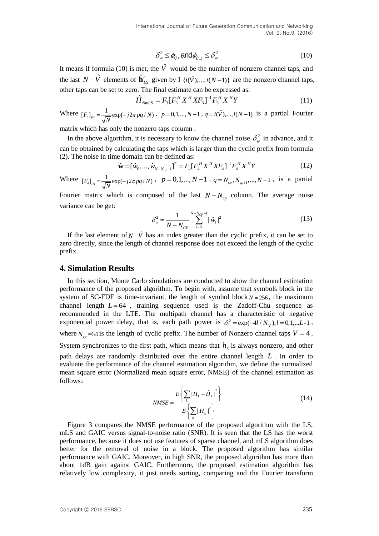$$
\delta_w^2 \le \phi_{\hat{V}}, \text{and} \phi_{\hat{V}\text{-}1} \le \delta_w^2 \tag{10}
$$

It means if formula (10) is met, the  $\hat{V}$  would be the number of nonzero channel taps, and the last  $N - \hat{V}$  elements of  $\hat{h}'_{LS}$  given by I { $i(\hat{V})$ ,...,  $i(N-1)$ } are the nonzero channel taps,

other taps can be set to zero. The final estimate can be expressed as:  
\n
$$
\hat{H}_{NmlS} = F_3 [F_3^H X^H X F_3]^{-1} F_3^H X^H Y
$$
\n(11)

Where  $[F_3]$  $[F_3]_{pq} = \frac{1}{\sqrt{N}} \exp(-j2\pi pq/N)$ ,  $p = 0, 1, ..., N-1$ ,  $q = i(\hat{V}), ..., i(N-1)$  is a partial Fourier

matrix which has only the nonzero taps column .

In the above algorithm, it is necessary to know the channel noise  $\delta_w^2$  in advance, and it can be obtained by calculating the taps which is larger than the cyclic prefix from formula (2). The noise in time domain can be defined as:<br>  $\hat{\mathbf{w}} = [\hat{w}_0, ..., \hat{w}_{N-N_{\varphi}-1}]^T = F_4[F_4^H X^H X F_4]^{-1} F_4^H X^H Y$ 

$$
\hat{\mathbf{w}} = [\hat{w}_0, ..., \hat{w}_{N-N_{cp}-1}]^T = F_4 [F_4^H X^H X F_4]^{-1} F_4^H X^H Y
$$
\n(12)

Where  $[F_4$  $[F_4]_{pq} = \frac{1}{\sqrt{N}} \exp(-j2\pi pq/N)$ ,  $p = 0, 1, ..., N-1$ ,  $q = N_{cp}, N_{cp+1}, ..., N-1$ , is a partial

Fourier matrix which is composed of the last  $N - N_{cp}$  column. The average noise variance can be get:

$$
\delta_w^2 = \frac{1}{N - N_{CP}} \sum_{i=0}^{N - N_{CP} - 1} |\hat{w}_i|^2
$$
 (13)

If the last element of  $N - \hat{V}$  has an index greater than the cyclic prefix, it can be set to zero directly, since the length of channel response does not exceed the length of the cyclic prefix.

## **4. Simulation Results**

R means if formula (10) is met, the V would be the number of nonzero channel laps, and<br>the last  $N - V$  elements of  $\int_{2\pi}^{\pi}$  given by 1 ( $V(t)$ ),...( $N - 1$ ) are the nonzero channel (app)<br>other taps can be set to zero. T In this section, Monte Carlo simulations are conducted to show the channel estimation performance of the proposed algorithm. To begin with, assume that symbols block in the system of SC-FDE is time-invariant, the length of symbol block  $N = 256$ , the maximum channel length  $L = 64$ , training sequence used is the Zadoff-Chu sequence as recommended in the LTE. The multipath channel has a characteristic of negative exponential power delay, that is, each path power is  $\delta_i^2$ s a characteristic of negative<br> $\delta_l^2 = \exp(-4l / N_{cp}), l = 0,1,...L-1$ , where  $N_{cp}$  =64 is the length of cyclic prefix. The number of Nonzero channel taps  $V = 4$ . System synchronizes to the first path, which means that  $h_0$  is always nonzero, and other

path delays are randomly distributed over the entire channel length *L* . In order to evaluate the performance of the channel estimation algorithm, we define the normalized mean square error (Normalized mean square error, NMSE) of the channel estimation as follows:

$$
NMSE = \frac{E\left\{\sum_{k} |H_{k} - \hat{H}_{k}|^{2}\right\}}{E\left\{\sum_{k} |H_{k}|^{2}\right\}}
$$
(14)

Figure 3 compares the NMSE performance of the proposed algorithm with the LS, mLS and GAIC versus signal-to-noise ratio (SNR). It is seen that the LS has the worst performance, because it does not use features of sparse channel, and mLS algorithm does better for the removal of noise in a block. The proposed algorithm has similar performance with GAIC. Moreover, in high SNR, the proposed algorithm has more than about 1dB gain against GAIC. Furthermore, the proposed estimation algorithm has relatively low complexity, it just needs sorting, comparing and the Fourier transform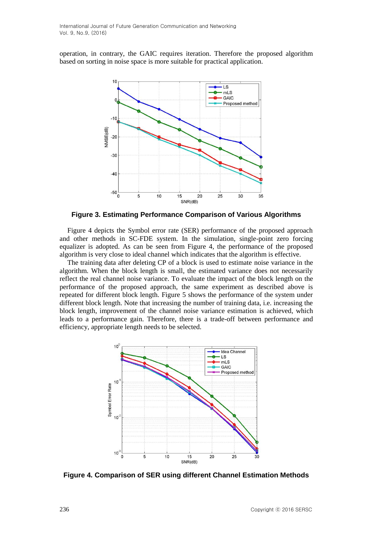operation, in contrary, the GAIC requires iteration. Therefore the proposed algorithm based on sorting in noise space is more suitable for practical application.



**Figure 3. Estimating Performance Comparison of Various Algorithms**

Figure 4 depicts the Symbol error rate (SER) performance of the proposed approach and other methods in SC-FDE system. In the simulation, single-point zero forcing equalizer is adopted. As can be seen from Figure 4, the performance of the proposed algorithm is very close to ideal channel which indicates that the algorithm is effective.

The training data after deleting CP of a block is used to estimate noise variance in the algorithm. When the block length is small, the estimated variance does not necessarily reflect the real channel noise variance. To evaluate the impact of the block length on the performance of the proposed approach, the same experiment as described above is repeated for different block length. Figure 5 shows the performance of the system under different block length. Note that increasing the number of training data, i.e. increasing the block length, improvement of the channel noise variance estimation is achieved, which leads to a performance gain. Therefore, there is a trade-off between performance and efficiency, appropriate length needs to be selected.



**Figure 4. Comparison of SER using different Channel Estimation Methods**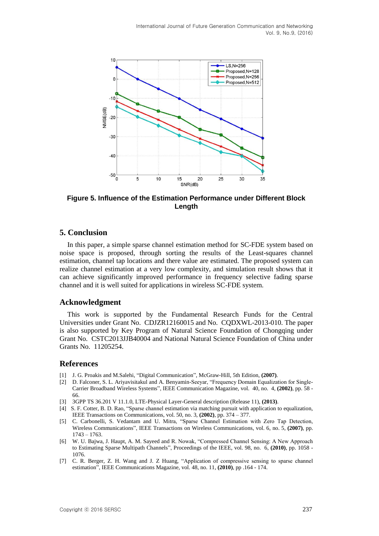

**Figure 5. Influence of the Estimation Performance under Different Block Length**

# **5. Conclusion**

In this paper, a simple sparse channel estimation method for [SC-FDE](http://www.utdallas.edu/~aldhahir/fde_final.pdf) system based on noise space is proposed, through sorting the results of the Least-squares channel estimation, channel tap locations and there value are estimated. The proposed system can realize channel estimation at a very low complexity, and simulation result shows that it can achieve significantly improved performance in frequency selective fading sparse channel and it is well suited for applications in wireless SC-FDE system.

### **Acknowledgment**

This work is supported by the Fundamental Research Funds for the Central Universities under Grant No. CDJZR12160015 and No. CQDXWL-2013-010. The paper is also supported by Key Program of Natural Science Foundation of Chongqing under Grant No. CSTC2013JJB40004 and National Natural Science Foundation of China under Grants No. 11205254.

### **References**

- [1] J. G. Proakis and M.Salehi, "Digital Communication", McGraw-Hill, 5th Edition, **(2007)**.
- [2] D. Falconer, S. L. Ariyavisitakul and A. Benyamin-Seeyar, "Frequency Domain Equalization for Single-Carrier Broadband Wireless Systems", IEEE Communication Magazine, vol. 40, no. 4, **(2002)**, pp. 58 - 66.
- [3] 3GPP TS 36.201 V 11.1.0, LTE-Physical Layer-General description (Release 11), **(2013)**.
- [4] S. F. [Cotter,](http://ieeexplore.ieee.org/search/searchresult.jsp?searchWithin=p_Authors:.QT.Cotter,%20S.F..QT.&searchWithin=p_Author_Ids:37284989400&newsearch=true) B. D. [Rao,](http://ieeexplore.ieee.org/search/searchresult.jsp?searchWithin=p_Authors:.QT.Rao,%20B.D..QT.&searchWithin=p_Author_Ids:37281341200&newsearch=true) "Sparse channel estimation via matching pursuit with application to equalization, IEEE Transactions on Communications, vol. 50, no. 3, **(2002)**, pp. 374 – 377.
- [5] C. Carbonelli, S. Vedantam and U. Mitra, "Sparse Channel Estimation with Zero Tap Detection, Wireless Communications", IEEE Transactions on Wireless Communications, vol. 6, no. 5, **(2007)**, pp. 1743 – 1763.
- [6] W. U. Bajwa, J. Haupt, A. M. Sayeed and R. Nowak, "Compressed Channel Sensing: A New Approach to Estimating Sparse Multipath Channels", Proceedings of the IEEE, vol. 98, no. 6, **(2010)**, pp. 1058 - 1076.
- [7] C. R. Berger, Z. H. Wang and J. Z Huang, "Application of compressive sensing to sparse channel estimation", IEEE Communications Magazine, vol. 48, no. 11, **(2010)**, pp .164 - 174.